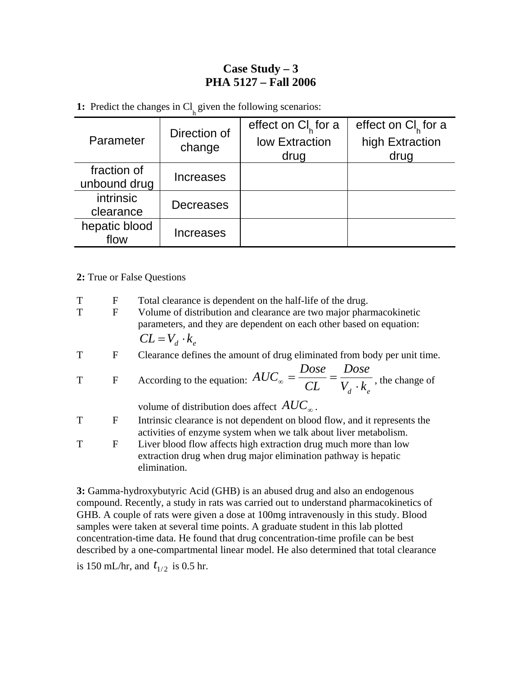## **Case Study – 3 PHA 5127 – Fall 2006**

**1:** Predict the changes in  $Cl<sub>h</sub>$  given the following scenarios:

| Parameter     | Direction of<br>change | effect on $Cl_{\kappa}$ for a | effect on $Cl_{\kappa}$ for a |
|---------------|------------------------|-------------------------------|-------------------------------|
|               |                        | low Extraction                | high Extraction               |
|               |                        | drug                          | drug                          |
| fraction of   |                        |                               |                               |
| unbound drug  | <b>Increases</b>       |                               |                               |
| intrinsic     | <b>Decreases</b>       |                               |                               |
| clearance     |                        |                               |                               |
| hepatic blood | <b>Increases</b>       |                               |                               |
| flow          |                        |                               |                               |

## **2:** True or False Questions

| T | F            | Total clearance is dependent on the half-life of the drug.                                                                                         |  |  |
|---|--------------|----------------------------------------------------------------------------------------------------------------------------------------------------|--|--|
| T | $\mathbf{F}$ | Volume of distribution and clearance are two major pharmacokinetic<br>parameters, and they are dependent on each other based on equation:          |  |  |
|   |              | $CL = V_d \cdot k_a$                                                                                                                               |  |  |
| T | F            | Clearance defines the amount of drug eliminated from body per unit time.                                                                           |  |  |
|   |              |                                                                                                                                                    |  |  |
| T | $\mathbf{F}$ | According to the equation: $AUC_{\infty} = \frac{Dose}{CL} = \frac{Dose}{V_A \cdot k_{\infty}}$ , the change of                                    |  |  |
|   |              | volume of distribution does affect $AUC_{\infty}$ .                                                                                                |  |  |
| T | F            | Intrinsic clearance is not dependent on blood flow, and it represents the<br>activities of enzyme system when we talk about liver metabolism.      |  |  |
| T | F            | Liver blood flow affects high extraction drug much more than low<br>extraction drug when drug major elimination pathway is hepatic<br>elimination. |  |  |

**3:** Gamma-hydroxybutyric Acid (GHB) is an abused drug and also an endogenous compound. Recently, a study in rats was carried out to understand pharmacokinetics of GHB. A couple of rats were given a dose at 100mg intravenously in this study. Blood samples were taken at several time points. A graduate student in this lab plotted concentration-time data. He found that drug concentration-time profile can be best described by a one-compartmental linear model. He also determined that total clearance

is 150 mL/hr, and  $t_{1/2}$  is 0.5 hr.